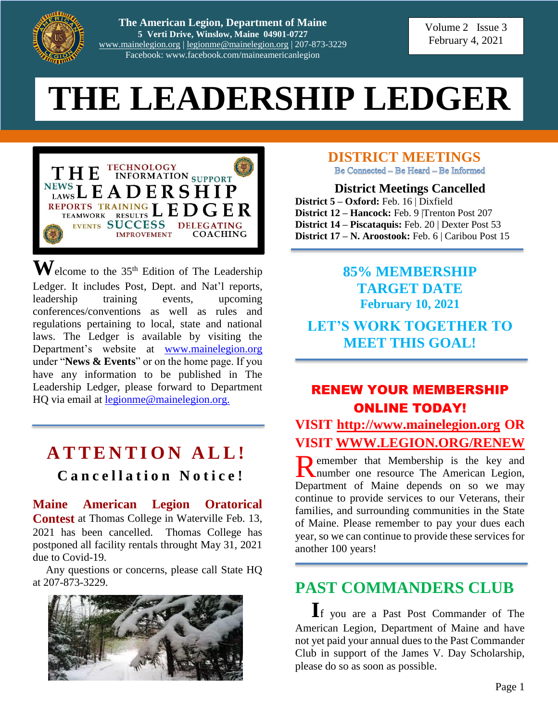

**The American Legion, Department of Maine 5 Verti Drive, Winslow, Maine 04901-0727** [www.mainelegion.org](http://www.mainelegion.org/) | [legionme@mainelegion.org](mailto:legionme@mainelegion.org) | 207-873-3229 Facebook: www.facebook.com/maineamericanlegion

Volume 2 Issue 3 February 4, 2021

# **THE LEADERSHIP LEDGER**



 $\mathbf{W}$ elcome to the 35<sup>th</sup> Edition of The Leadership Ledger. It includes Post, Dept. and Nat'l reports, leadership training events, upcoming conferences/conventions as well as rules and regulations pertaining to local, state and national laws. The Ledger is available by visiting the Department's website at [www.mainelegion.org](http://www.mainelegion.org/) under "**News & Events**" or on the home page. If you have any information to be published in The Leadership Ledger, please forward to Department HQ via email at [legionme@mainelegion.org.](mailto:legionme@mainelegion.org)

# **A T T E N T I O N A L L !**

## **C a n c e l l a t i o n N o t i c e !**

**Maine American Legion Oratorical Contest** at Thomas College in Waterville Feb. 13, 2021 has been cancelled. Thomas College has postponed all facility rentals throught May 31, 2021 due to Covid-19.

Any questions or concerns, please call State HQ at 207-873-3229.



**DISTRICT MEETINGS**

Be Connected - Be Heard - Be Informed

**District Meetings Cancelled District 5 – Oxford:** Feb. 16 | Dixfield **District 12 – Hancock:** Feb. 9 |Trenton Post 207 **District 14 – Piscataquis:** Feb. 20 | Dexter Post 53 **District 17 – N. Aroostook:** Feb. 6 | Caribou Post 15

## **85% MEMBERSHIP TARGET DATE February 10, 2021**

## **LET'S WORK TOGETHER TO MEET THIS GOAL!**

## RENEW YOUR MEMBERSHIP ONLINE TODAY!

**VISIT [http://www.mainelegion.org](http://www.mainelegion.org/) OR VISIT [WWW.LEGION.ORG/RENEW](http://www.legion.org/RENEW)**

**D** emember that Membership is the key and Remember that Membership is the key and number one resource The American Legion, Department of Maine depends on so we may continue to provide services to our Veterans, their families, and surrounding communities in the State of Maine. Please remember to pay your dues each year, so we can continue to provide these services for another 100 years!

# **PAST COMMANDERS CLUB**

**I**f you are a Past Post Commander of The American Legion, Department of Maine and have not yet paid your annual dues to the Past Commander Club in support of the James V. Day Scholarship, please do so as soon as possible.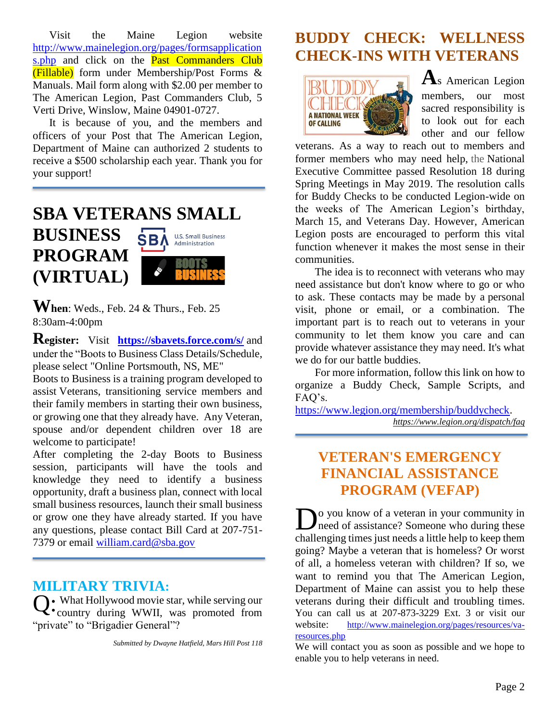Visit the Maine Legion website [http://www.mainelegion.org/pages/formsapplication](http://www.mainelegion.org/pages/formsapplications.php) [s.php](http://www.mainelegion.org/pages/formsapplications.php) and click on the **Past Commanders Club** (Fillable) form under Membership/Post Forms & Manuals. Mail form along with \$2.00 per member to The American Legion, Past Commanders Club, 5 Verti Drive, Winslow, Maine 04901-0727.

It is because of you, and the members and officers of your Post that The American Legion, Department of Maine can authorized 2 students to receive a \$500 scholarship each year. Thank you for your support!

#### **SBA VETERANS SMALL BUSINESS U.S. Small Business SBA** Administration **PROGRAM**



**(VIRTUAL)** 

**Register:** Visit **<https://sbavets.force.com/s/>** and under the "Boots to Business Class Details/Schedule, please select "Online Portsmouth, NS, ME"

Boots to Business is a training program developed to assist Veterans, transitioning service members and their family members in starting their own business, or growing one that they already have. Any Veteran, spouse and/or dependent children over 18 are welcome to participate!

After completing the 2-day Boots to Business session, participants will have the tools and knowledge they need to identify a business opportunity, draft a business plan, connect with local small business resources, launch their small business or grow one they have already started. If you have any questions, please contact Bill Card at 207-751 7379 or email [william.card@sba.gov](mailto:william.card@sba.gov)

### **MILITARY TRIVIA:**

What Hollywood movie star, while serving our Q: What Hollywood movie star, while serving our<br>
C: country during WWII, was promoted from "private" to "Brigadier General"?

*Submitted by Dwayne Hatfield, Mars Hill Post 118*

# **BUDDY CHECK: WELLNESS CHECK-INS WITH VETERANS**



**A**s American Legion members, our most sacred responsibility is to look out for each other and our fellow

veterans. As a way to reach out to members and former members who may need help, the National Executive Committee passed Resolution 18 during Spring Meetings in May 2019. The resolution calls for Buddy Checks to be conducted Legion-wide on the weeks of The American Legion's birthday, March 15, and Veterans Day. However, American Legion posts are encouraged to perform this vital function whenever it makes the most sense in their communities.

The idea is to reconnect with veterans who may need assistance but don't know where to go or who to ask. These contacts may be made by a personal visit, phone or email, or a combination. The important part is to reach out to veterans in your community to let them know you care and can provide whatever assistance they may need. It's what we do for our battle buddies.

For more information, follow this link on how to organize a Buddy Check, Sample Scripts, and FAQ's.

[https://www.legion.org/membership/buddycheck.](https://www.legion.org/membership/buddycheck) *[https://www.legion.org/dispatch/](https://www.legion.org/dispatch)faq*

# **VETERAN'S EMERGENCY FINANCIAL ASSISTANCE PROGRAM (VEFAP)**

**D**<sup>o</sup> you know of a veteran in your community in need of assistance? Someone who during these need of assistance? Someone who during these challenging times just needs a little help to keep them going? Maybe a veteran that is homeless? Or worst of all, a homeless veteran with children? If so, we want to remind you that The American Legion, Department of Maine can assist you to help these veterans during their difficult and troubling times. You can call us at 207-873-3229 Ext. 3 or visit our website: http://www.mainelegion.org/pages/resources/varesources.php

We will contact you as soon as possible and we hope to enable you to help veterans in need.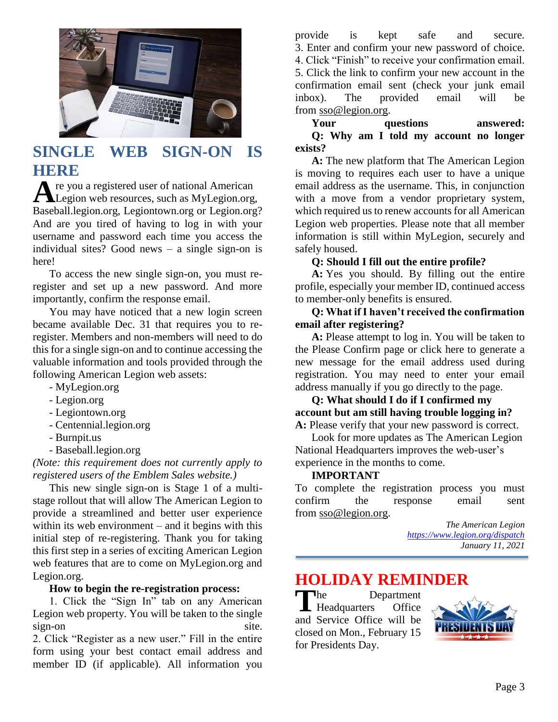

# **SINGLE WEB SIGN-ON IS HERE**

re you a registered user of national American A re you a registered user of national American<br>Legion web resources, such as MyLegion.org, Baseball.legion.org, Legiontown.org or Legion.org? And are you tired of having to log in with your username and password each time you access the individual sites? Good news – a single sign-on is here!

To access the new single sign-on, you must reregister and set up a new password. And more importantly, confirm the response email.

You may have noticed that a new login screen became available Dec. 31 that requires you to reregister. Members and non-members will need to do this for a single sign-on and to continue accessing the valuable information and tools provided through the following American Legion web assets:

- MyLegion.org
- Legion.org
- Legiontown.org
- Centennial.legion.org
- Burnpit.us
- Baseball.legion.org

*(Note: this requirement does not currently apply to registered users of the Emblem Sales website.)*

This new single sign-on is Stage 1 of a multistage rollout that will allow The American Legion to provide a streamlined and better user experience within its web environment – and it begins with this initial step of re-registering. Thank you for taking this first step in a series of exciting American Legion web features that are to come on MyLegion.org and Legion.org.

#### **How to begin the re-registration process:**

1. Click the "Sign In" tab on any American Legion web property. You will be taken to the single sign-on site.

2. Click "Register as a new user." Fill in the entire form using your best contact email address and member ID (if applicable). All information you

provide is kept safe and secure. 3. Enter and confirm your new password of choice. 4. Click "Finish" to receive your confirmation email. 5. Click the link to confirm your new account in the confirmation email sent (check your junk email inbox). The provided email will be from [sso@legion.org.](mailto:sso@legion.org)

**Your questions answered: Q: Why am I told my account no longer exists?**

**A:** The new platform that The American Legion is moving to requires each user to have a unique email address as the username. This, in conjunction with a move from a vendor proprietary system, which required us to renew accounts for all American Legion web properties. Please note that all member information is still within MyLegion, securely and safely housed.

#### **Q: Should I fill out the entire profile?**

**A:** Yes you should. By filling out the entire profile, especially your member ID, continued access to member-only benefits is ensured.

#### **Q: What if I haven't received the confirmation email after registering?**

**A:** Please attempt to log in. You will be taken to the Please Confirm page or click here to generate a new message for the email address used during registration. You may need to enter your email address manually if you go directly to the page.

#### **Q: What should I do if I confirmed my account but am still having trouble logging in? A:** Please verify that your new password is correct.

Look for more updates as The American Legion National Headquarters improves the web-user's experience in the months to come.

#### **IMPORTANT**

To complete the registration process you must confirm the response email sent from [sso@legion.org.](mailto:sso@legion.org)

> *The American Legion <https://www.legion.org/dispatch> January 11, 2021*

# **HOLIDAY REMINDER**

Department Headquarters Office and Service Office will be closed on Mon., February 15 for Presidents Day. **T** he

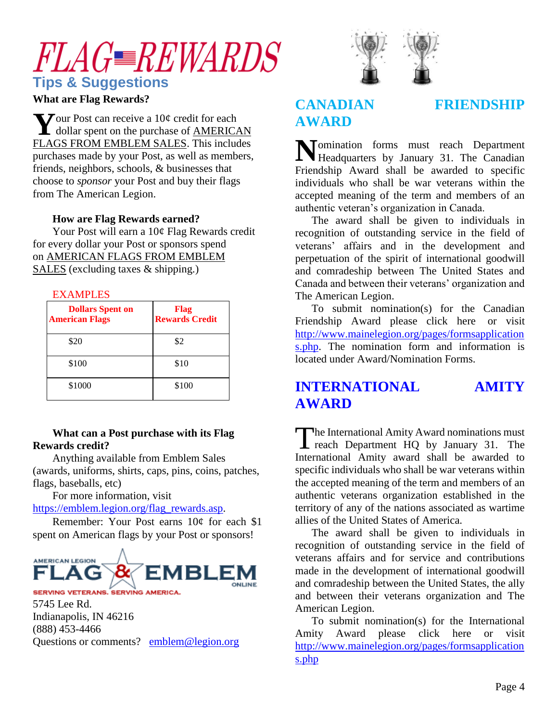# *FLAGWARDS* **Tips & Suggestions**

#### **What are Flag Rewards?**

 $\sum$  J our Post can receive a 10¢ credit for each  $\sum$  our Post can receive a 10¢ credit for each dollar spent on the purchase of  $\frac{\text{AMERICAN}}{\text{MERICAN}}$ [FLAGS FROM EMBLEM SALES.](https://emblem.legion.org/American-Flags/departments/756/) This includes purchases made by your Post, as well as members, friends, neighbors, schools, & businesses that choose to *sponsor* your Post and buy their flags from The American Legion.

#### **How are Flag Rewards earned?**

Your Post will earn a 10¢ Flag Rewards credit for every dollar your Post or sponsors spend on [AMERICAN FLAGS FROM EMBLEM](https://emblem.legion.org/American-Flags/departments/756/)  [SALES](https://emblem.legion.org/American-Flags/departments/756/) (excluding taxes & shipping.)

| <b>EXAMPLES</b>                                  |                               |
|--------------------------------------------------|-------------------------------|
| <b>Dollars Spent on</b><br><b>American Flags</b> | Flag<br><b>Rewards Credit</b> |
| \$20                                             | \$2                           |
| \$100                                            | \$10                          |
| \$1000                                           | \$100                         |

#### **What can a Post purchase with its Flag Rewards credit?**

Anything available from Emblem Sales (awards, uniforms, shirts, caps, pins, coins, patches, flags, baseballs, etc)

For more information, visit

[https://emblem.legion.org/flag\\_rewards.asp.](https://emblem.legion.org/flag_rewards.asp)

Remember: Your Post earns 10¢ for each \$1 spent on American flags by your Post or sponsors!



SERVING VETERANS, SERVING AMERICA. 5745 Lee Rd. Indianapolis, IN 46216 (888) 453-4466 Questions or comments? [emblem@legion.org](mailto:emblem@legion.org)



# **AWARD**

### **CANADIAN FRIENDSHIP**

omination forms must reach Department Momination forms must reach Department<br>Headquarters by January 31. The Canadian Friendship Award shall be awarded to specific individuals who shall be war veterans within the accepted meaning of the term and members of an authentic veteran's organization in Canada.

The award shall be given to individuals in recognition of outstanding service in the field of veterans' affairs and in the development and perpetuation of the spirit of international goodwill and comradeship between The United States and Canada and between their veterans' organization and The American Legion.

To submit nomination(s) for the Canadian Friendship Award please click here or visit [http://www.mainelegion.org/pages/formsapplication](http://www.mainelegion.org/pages/formsapplications.php) [s.php.](http://www.mainelegion.org/pages/formsapplications.php) The nomination form and information is located under Award/Nomination Forms.

## **INTERNATIONAL AMITY AWARD**

he International Amity Award nominations must The International Amity Award nominations must<br>reach Department HQ by January 31. The International Amity award shall be awarded to specific individuals who shall be war veterans within the accepted meaning of the term and members of an authentic veterans organization established in the territory of any of the nations associated as wartime allies of the United States of America.

The award shall be given to individuals in recognition of outstanding service in the field of veterans affairs and for service and contributions made in the development of international goodwill and comradeship between the United States, the ally and between their veterans organization and The American Legion.

To submit nomination(s) for the International Amity Award please click here or visit [http://www.mainelegion.org/pages/formsapplication](http://www.mainelegion.org/pages/formsapplications.php) [s.php](http://www.mainelegion.org/pages/formsapplications.php)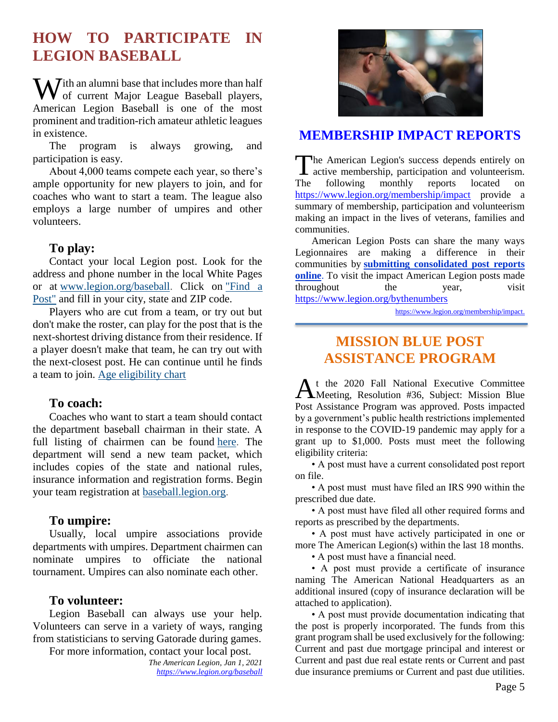# **HOW TO PARTICIPATE IN LEGION BASEBALL**

With an alumni base that includes more than half<br>of current Major League Baseball players, of current Major League Baseball players, American Legion Baseball is one of the most prominent and tradition-rich amateur athletic leagues in existence.

The program is always growing, and participation is easy.

About 4,000 teams compete each year, so there's ample opportunity for new players to join, and for coaches who want to start a team. The league also employs a large number of umpires and other volunteers.

#### **To play:**

Contact your local Legion post. Look for the address and phone number in the local White Pages or at [www.legion.org/baseball.](http://www.legion.org/baseball) Click on ["Find a](https://www.legion.org/posts)  [Post"](https://www.legion.org/posts) and fill in your city, state and ZIP code.

Players who are cut from a team, or try out but don't make the roster, can play for the post that is the next-shortest driving distance from their residence. If a player doesn't make that team, he can try out with the next-closest post. He can continue until he finds a team to join. [Age eligibility chart](https://www.legion.org/documents/legion/baseball/baseball_age_chart.pdf)

#### **To coach:**

Coaches who want to start a team should contact the department baseball chairman in their state. A full listing of chairmen can be found [here.](https://www.legion.org/baseball/contacts) The department will send a new team packet, which includes copies of the state and national rules, insurance information and registration forms. Begin your team registration at [baseball.legion.org.](http://baseball.legion.org/)

#### **To umpire:**

Usually, local umpire associations provide departments with umpires. Department chairmen can nominate umpires to officiate the national tournament. Umpires can also nominate each other.

#### **To volunteer:**

Legion Baseball can always use your help. Volunteers can serve in a variety of ways, ranging from statisticians to serving Gatorade during games.

For more information, contact your local post.

*The American Legion, Jan 1, 2021 <https://www.legion.org/baseball>*



#### **[MEMBERSHIP IMPACT REPORTS](https://www.legion.org/membership/impact)**

The American Legion's success depends entirely on active membership, participation and volunteerism. active membership, participation and volunteerism. The following monthly reports located on <https://www.legion.org/membership/impact> provide a summary of membership, participation and volunteerism making an impact in the lives of veterans, families and communities.

American Legion Posts can share the many ways Legionnaires are making a difference in their communities by **[submitting consolidated post reports](http://www.mylegion.org/)  [online](http://www.mylegion.org/)**. To visit the impact American Legion posts made throughout the year, visit <https://www.legion.org/bythenumbers>

[https://www.legion.org/membership/impact.](https://www.legion.org/membership/impact)

## **MISSION BLUE POST ASSISTANCE PROGRAM**

t the 2020 Fall National Executive Committee At the 2020 Fall National Executive Committee<br>Meeting, Resolution #36, Subject: Mission Blue Post Assistance Program was approved. Posts impacted by a government's public health restrictions implemented in response to the COVID-19 pandemic may apply for a grant up to \$1,000. Posts must meet the following eligibility criteria:

• A post must have a current consolidated post report on file.

• A post must must have filed an IRS 990 within the prescribed due date.

• A post must have filed all other required forms and reports as prescribed by the departments.

• A post must have actively participated in one or more The American Legion(s) within the last 18 months.

• A post must have a financial need.

• A post must provide a certificate of insurance naming The American National Headquarters as an additional insured (copy of insurance declaration will be attached to application).

• A post must provide documentation indicating that the post is properly incorporated. The funds from this grant program shall be used exclusively for the following: Current and past due mortgage principal and interest or Current and past due real estate rents or Current and past due insurance premiums or Current and past due utilities.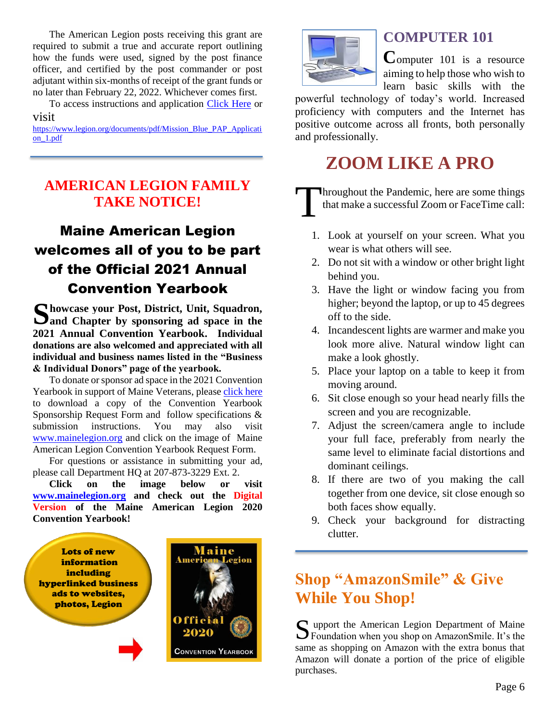The American Legion posts receiving this grant are required to submit a true and accurate report outlining how the funds were used, signed by the post finance officer, and certified by the post commander or post adjutant within six-months of receipt of the grant funds or no later than February 22, 2022. Whichever comes first.

To access instructions and application [Click Here](https://www.legion.org/documents/pdf/Mission_Blue_PAP_Application_1.pdf) or visit

[https://www.legion.org/documents/pdf/Mission\\_Blue\\_PAP\\_Applicati](https://www.legion.org/documents/pdf/Mission_Blue_PAP_Application_1.pdf) [on\\_1.pdf](https://www.legion.org/documents/pdf/Mission_Blue_PAP_Application_1.pdf)

## **AMERICAN LEGION FAMILY TAKE NOTICE!**

# Maine American Legion welcomes all of you to be part of the Official 2021 Annual Convention Yearbook

Showcase your Post, District, Unit, Squadron, Sand Chapter by sponsoring ad space in the **and Chapter by sponsoring ad space in the 2021 Annual Convention Yearbook. Individual donations are also welcomed and appreciated with all individual and business names listed in the "Business & Individual Donors" page of the yearbook.** 

To donate or sponsor ad space in the 2021 Convention Yearbook in support of Maine Veterans, please [click here](http://www.mainelegion.org/media/YEARBOOK/Maine_AL_Convention_Yearbook_Sponsorship_Req._Form11_FILLABLE.pdf) to download a copy of the Convention Yearbook Sponsorship Request Form and follow specifications & submission instructions. You may also visit [www.mainelegion.org](http://www.mainelegion.org/) and click on the image of Maine American Legion Convention Yearbook Request Form.

For questions or assistance in submitting your ad, please call Department HQ at 207-873-3229 Ext. 2.

**Click on the image below or visit [www.mainelegion.org](http://www.mainelegion.org/) and check out the Digital Version of the Maine American Legion 2020 Convention Yearbook!**





## **COMPUTER 101**

**C**omputer 101 is a resource aiming to help those who wish to learn basic skills with the

powerful technology of today's world. Increased proficiency with computers and the Internet has positive outcome across all fronts, both personally and professionally.

# **ZOOM LIKE A PRO**

**Throughout the Pandemic, here are some things** that make a successful Zoom or FaceTime call: T

- 1. Look at yourself on your screen. What you wear is what others will see.
- 2. Do not sit with a window or other bright light behind you.
- 3. Have the light or window facing you from higher; beyond the laptop, or up to 45 degrees off to the side.
- 4. Incandescent lights are warmer and make you look more alive. Natural window light can make a look ghostly.
- 5. Place your laptop on a table to keep it from moving around.
- 6. Sit close enough so your head nearly fills the screen and you are recognizable.
- 7. Adjust the screen/camera angle to include your full face, preferably from nearly the same level to eliminate facial distortions and dominant ceilings.
- 8. If there are two of you making the call together from one device, sit close enough so both faces show equally.
- 9. Check your background for distracting clutter.

# **Shop "AmazonSmile" & Give While You Shop!**

upport the American Legion Department of Maine Support the American Legion Department of Maine<br>Foundation when you shop on AmazonSmile. It's the same as shopping on Amazon with the extra bonus that Amazon will donate a portion of the price of eligible purchases.